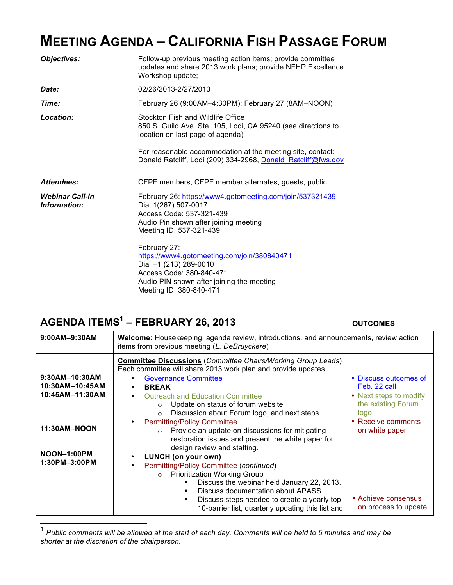# **MEETING AGENDA – CALIFORNIA FISH PASSAGE FORUM**

| <b>Objectives:</b>                     | Follow-up previous meeting action items; provide committee<br>updates and share 2013 work plans; provide NFHP Excellence<br>Workshop update;                                              |
|----------------------------------------|-------------------------------------------------------------------------------------------------------------------------------------------------------------------------------------------|
| Date:                                  | 02/26/2013-2/27/2013                                                                                                                                                                      |
| Time:                                  | February 26 (9:00AM-4:30PM); February 27 (8AM-NOON)                                                                                                                                       |
| Location:                              | Stockton Fish and Wildlife Office<br>850 S. Guild Ave. Ste. 105, Lodi, CA 95240 (see directions to<br>location on last page of agenda)                                                    |
|                                        | For reasonable accommodation at the meeting site, contact:<br>Donald Ratcliff, Lodi (209) 334-2968, Donald Ratcliff@fws.gov                                                               |
| Attendees:                             | CFPF members, CFPF member alternates, guests, public                                                                                                                                      |
| <b>Webinar Call-In</b><br>Information: | February 26: https://www4.gotomeeting.com/join/537321439<br>Dial 1(267) 507-0017<br>Access Code: 537-321-439<br>Audio Pin shown after joining meeting<br>Meeting ID: 537-321-439          |
|                                        | February 27:<br>https://www4.gotomeeting.com/join/380840471<br>Dial +1 (213) 289-0010<br>Access Code: 380-840-471<br>Audio PIN shown after joining the meeting<br>Meeting ID: 380-840-471 |

## **AGENDA ITEMS1 – FEBRUARY 26, 2013 OUTCOMES**

| $9:00AM - 9:30AM$                                    | <b>Welcome:</b> Housekeeping, agenda review, introductions, and announcements, review action<br>items from previous meeting (L. DeBruyckere)                                                                                                                                                                                                                                                                                                                |                                                                                                                     |  |
|------------------------------------------------------|-------------------------------------------------------------------------------------------------------------------------------------------------------------------------------------------------------------------------------------------------------------------------------------------------------------------------------------------------------------------------------------------------------------------------------------------------------------|---------------------------------------------------------------------------------------------------------------------|--|
| 9:30AM-10:30AM<br>10:30AM-10:45AM<br>10:45AM-11:30AM | <b>Committee Discussions (Committee Chairs/Working Group Leads)</b><br>Each committee will share 2013 work plan and provide updates<br><b>Governance Committee</b><br><b>BREAK</b><br><b>Outreach and Education Committee</b><br>Update on status of forum website<br>$\circ$<br>Discussion about Forum logo, and next steps<br>$\circ$<br><b>Permitting/Policy Committee</b>                                                                               | • Discuss outcomes of<br>Feb. 22 call<br>• Next steps to modify<br>the existing Forum<br>logo<br>• Receive comments |  |
| 11:30AM-NOON<br>NOON-1:00PM<br>1:30PM-3:00PM         | Provide an update on discussions for mitigating<br>$\circ$<br>restoration issues and present the white paper for<br>design review and staffing.<br>LUNCH (on your own)<br>Permitting/Policy Committee (continued)<br><b>Prioritization Working Group</b><br>$\circ$<br>Discuss the webinar held January 22, 2013.<br>Discuss documentation about APASS.<br>Discuss steps needed to create a yearly top<br>10-barrier list, quarterly updating this list and | on white paper<br>• Achieve consensus<br>on process to update                                                       |  |

 1 *Public comments will be allowed at the start of each day. Comments will be held to 5 minutes and may be shorter at the discretion of the chairperson.*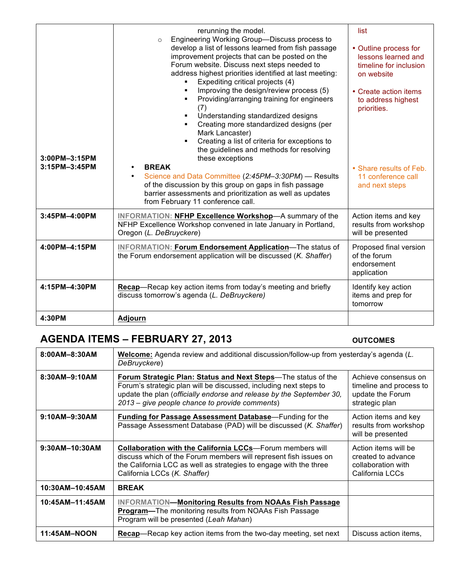| 3:00PM-3:15PM<br>3:15PM-3:45PM | rerunning the model.<br>Engineering Working Group-Discuss process to<br>$\Omega$<br>develop a list of lessons learned from fish passage<br>improvement projects that can be posted on the<br>Forum website. Discuss next steps needed to<br>address highest priorities identified at last meeting:<br>Expediting critical projects (4)<br>٠<br>Improving the design/review process (5)<br>Providing/arranging training for engineers<br>(7)<br>Understanding standardized designs<br>Creating more standardized designs (per<br>٠<br>Mark Lancaster)<br>Creating a list of criteria for exceptions to<br>٠<br>the guidelines and methods for resolving<br>these exceptions<br><b>BREAK</b><br>Science and Data Committee (2:45PM-3:30PM) - Results<br>$\bullet$<br>of the discussion by this group on gaps in fish passage<br>barrier assessments and prioritization as well as updates<br>from February 11 conference call. | list<br>• Outline process for<br>lessons learned and<br>timeline for inclusion<br>on website<br>• Create action items<br>to address highest<br>priorities.<br>• Share results of Feb.<br>11 conference call<br>and next steps |
|--------------------------------|------------------------------------------------------------------------------------------------------------------------------------------------------------------------------------------------------------------------------------------------------------------------------------------------------------------------------------------------------------------------------------------------------------------------------------------------------------------------------------------------------------------------------------------------------------------------------------------------------------------------------------------------------------------------------------------------------------------------------------------------------------------------------------------------------------------------------------------------------------------------------------------------------------------------------|-------------------------------------------------------------------------------------------------------------------------------------------------------------------------------------------------------------------------------|
| 3:45PM-4:00PM                  | <b>INFORMATION: NFHP Excellence Workshop-A summary of the</b><br>NFHP Excellence Workshop convened in late January in Portland,<br>Oregon (L. DeBruyckere)                                                                                                                                                                                                                                                                                                                                                                                                                                                                                                                                                                                                                                                                                                                                                                   | Action items and key<br>results from workshop<br>will be presented                                                                                                                                                            |
| 4:00PM-4:15PM                  | <b>INFORMATION: Forum Endorsement Application-The status of</b><br>the Forum endorsement application will be discussed (K. Shaffer)                                                                                                                                                                                                                                                                                                                                                                                                                                                                                                                                                                                                                                                                                                                                                                                          | Proposed final version<br>of the forum<br>endorsement<br>application                                                                                                                                                          |
| 4:15PM-4:30PM                  | Recap-Recap key action items from today's meeting and briefly<br>discuss tomorrow's agenda (L. DeBruyckere)                                                                                                                                                                                                                                                                                                                                                                                                                                                                                                                                                                                                                                                                                                                                                                                                                  | Identify key action<br>items and prep for<br>tomorrow                                                                                                                                                                         |
| 4:30PM                         | <b>Adjourn</b>                                                                                                                                                                                                                                                                                                                                                                                                                                                                                                                                                                                                                                                                                                                                                                                                                                                                                                               |                                                                                                                                                                                                                               |

## **AGENDA ITEMS – FEBRUARY 27, 2013 OUTCOMES**

| 8:00AM-8:30AM    | <b>Welcome:</b> Agenda review and additional discussion/follow-up from yesterday's agenda (L.<br>DeBruyckere)                                                                                                                                                |                                                                                       |
|------------------|--------------------------------------------------------------------------------------------------------------------------------------------------------------------------------------------------------------------------------------------------------------|---------------------------------------------------------------------------------------|
| 8:30AM-9:10AM    | Forum Strategic Plan: Status and Next Steps-The status of the<br>Forum's strategic plan will be discussed, including next steps to<br>update the plan (officially endorse and release by the September 30,<br>2013 – give people chance to provide comments) | Achieve consensus on<br>timeline and process to<br>update the Forum<br>strategic plan |
| 9:10AM-9:30AM    | <b>Funding for Passage Assessment Database—Funding for the</b><br>Passage Assessment Database (PAD) will be discussed (K. Shaffer)                                                                                                                           | Action items and key<br>results from workshop<br>will be presented                    |
| $9:30AM-10:30AM$ | <b>Collaboration with the California LCCs—Forum members will</b><br>discuss which of the Forum members will represent fish issues on<br>the California LCC as well as strategies to engage with the three<br>California LCCs (K. Shaffer)                    | Action items will be<br>created to advance<br>collaboration with<br>California LCCs   |
| 10:30AM-10:45AM  | <b>BREAK</b>                                                                                                                                                                                                                                                 |                                                                                       |
| 10:45AM-11:45AM  | <b>INFORMATION-Monitoring Results from NOAAs Fish Passage</b><br><b>Program—The monitoring results from NOAAs Fish Passage</b><br>Program will be presented (Leah Mahan)                                                                                     |                                                                                       |
| 11:45AM-NOON     | <b>Recap</b> —Recap key action items from the two-day meeting, set next                                                                                                                                                                                      | Discuss action items.                                                                 |